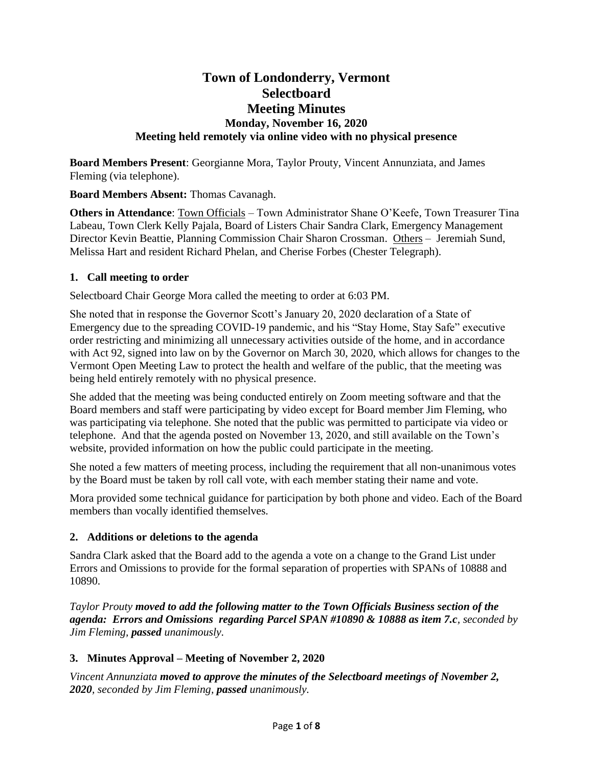# **Town of Londonderry, Vermont Selectboard Meeting Minutes Monday, November 16, 2020 Meeting held remotely via online video with no physical presence**

**Board Members Present**: Georgianne Mora, Taylor Prouty, Vincent Annunziata, and James Fleming (via telephone).

**Board Members Absent:** Thomas Cavanagh.

**Others in Attendance**: Town Officials – Town Administrator Shane O'Keefe, Town Treasurer Tina Labeau, Town Clerk Kelly Pajala, Board of Listers Chair Sandra Clark, Emergency Management Director Kevin Beattie, Planning Commission Chair Sharon Crossman. Others – Jeremiah Sund, Melissa Hart and resident Richard Phelan, and Cherise Forbes (Chester Telegraph).

### **1. Call meeting to order**

Selectboard Chair George Mora called the meeting to order at 6:03 PM.

She noted that in response the Governor Scott's January 20, 2020 declaration of a State of Emergency due to the spreading COVID-19 pandemic, and his "Stay Home, Stay Safe" executive order restricting and minimizing all unnecessary activities outside of the home, and in accordance with Act 92, signed into law on by the Governor on March 30, 2020, which allows for changes to the Vermont Open Meeting Law to protect the health and welfare of the public, that the meeting was being held entirely remotely with no physical presence.

She added that the meeting was being conducted entirely on Zoom meeting software and that the Board members and staff were participating by video except for Board member Jim Fleming, who was participating via telephone. She noted that the public was permitted to participate via video or telephone. And that the agenda posted on November 13, 2020, and still available on the Town's website, provided information on how the public could participate in the meeting.

She noted a few matters of meeting process, including the requirement that all non-unanimous votes by the Board must be taken by roll call vote, with each member stating their name and vote.

Mora provided some technical guidance for participation by both phone and video. Each of the Board members than vocally identified themselves.

#### **2. Additions or deletions to the agenda**

Sandra Clark asked that the Board add to the agenda a vote on a change to the Grand List under Errors and Omissions to provide for the formal separation of properties with SPANs of 10888 and 10890.

*Taylor Prouty moved to add the following matter to the Town Officials Business section of the agenda: Errors and Omissions regarding Parcel SPAN #10890 & 10888 as item 7.c, seconded by Jim Fleming, passed unanimously.*

## **3. Minutes Approval – Meeting of November 2, 2020**

*Vincent Annunziata moved to approve the minutes of the Selectboard meetings of November 2, 2020, seconded by Jim Fleming, passed unanimously.*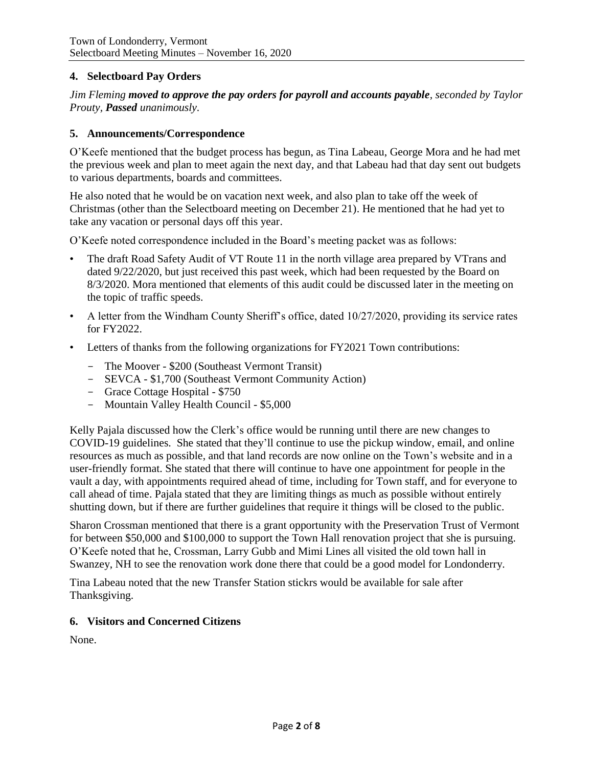#### **4. Selectboard Pay Orders**

*Jim Fleming moved to approve the pay orders for payroll and accounts payable, seconded by Taylor Prouty, Passed unanimously.*

#### **5. Announcements/Correspondence**

O'Keefe mentioned that the budget process has begun, as Tina Labeau, George Mora and he had met the previous week and plan to meet again the next day, and that Labeau had that day sent out budgets to various departments, boards and committees.

He also noted that he would be on vacation next week, and also plan to take off the week of Christmas (other than the Selectboard meeting on December 21). He mentioned that he had yet to take any vacation or personal days off this year.

O'Keefe noted correspondence included in the Board's meeting packet was as follows:

- The draft Road Safety Audit of VT Route 11 in the north village area prepared by VTrans and dated 9/22/2020, but just received this past week, which had been requested by the Board on 8/3/2020. Mora mentioned that elements of this audit could be discussed later in the meeting on the topic of traffic speeds.
- A letter from the Windham County Sheriff's office, dated 10/27/2020, providing its service rates for FY2022.
- Letters of thanks from the following organizations for FY2021 Town contributions:
	- The Moover \$200 (Southeast Vermont Transit)
	- SEVCA \$1,700 (Southeast Vermont Community Action)
	- Grace Cottage Hospital \$750
	- Mountain Valley Health Council \$5,000

Kelly Pajala discussed how the Clerk's office would be running until there are new changes to COVID-19 guidelines. She stated that they'll continue to use the pickup window, email, and online resources as much as possible, and that land records are now online on the Town's website and in a user-friendly format. She stated that there will continue to have one appointment for people in the vault a day, with appointments required ahead of time, including for Town staff, and for everyone to call ahead of time. Pajala stated that they are limiting things as much as possible without entirely shutting down, but if there are further guidelines that require it things will be closed to the public.

Sharon Crossman mentioned that there is a grant opportunity with the Preservation Trust of Vermont for between \$50,000 and \$100,000 to support the Town Hall renovation project that she is pursuing. O'Keefe noted that he, Crossman, Larry Gubb and Mimi Lines all visited the old town hall in Swanzey, NH to see the renovation work done there that could be a good model for Londonderry.

Tina Labeau noted that the new Transfer Station stickrs would be available for sale after Thanksgiving.

#### **6. Visitors and Concerned Citizens**

None.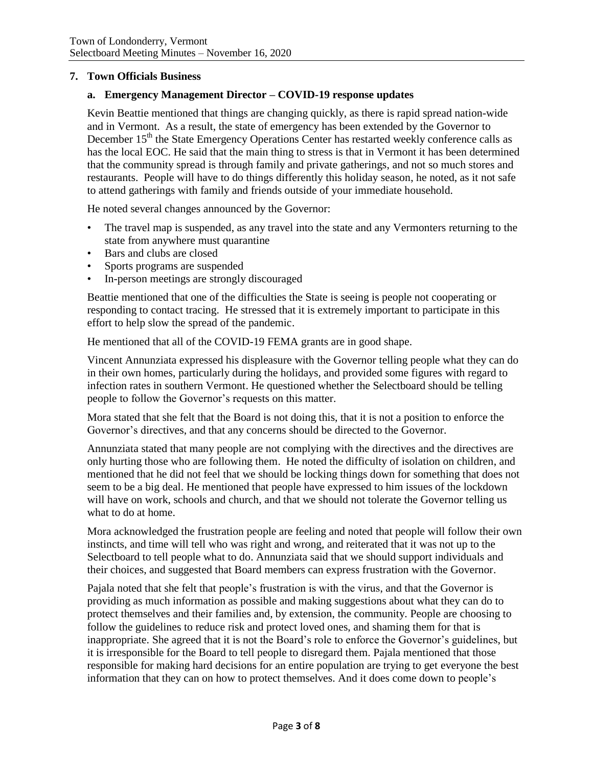#### **7. Town Officials Business**

### **a. Emergency Management Director – COVID-19 response updates**

Kevin Beattie mentioned that things are changing quickly, as there is rapid spread nation-wide and in Vermont. As a result, the state of emergency has been extended by the Governor to December 15<sup>th</sup> the State Emergency Operations Center has restarted weekly conference calls as has the local EOC. He said that the main thing to stress is that in Vermont it has been determined that the community spread is through family and private gatherings, and not so much stores and restaurants. People will have to do things differently this holiday season, he noted, as it not safe to attend gatherings with family and friends outside of your immediate household.

He noted several changes announced by the Governor:

- The travel map is suspended, as any travel into the state and any Vermonters returning to the state from anywhere must quarantine
- Bars and clubs are closed
- Sports programs are suspended
- In-person meetings are strongly discouraged

Beattie mentioned that one of the difficulties the State is seeing is people not cooperating or responding to contact tracing. He stressed that it is extremely important to participate in this effort to help slow the spread of the pandemic.

He mentioned that all of the COVID-19 FEMA grants are in good shape.

Vincent Annunziata expressed his displeasure with the Governor telling people what they can do in their own homes, particularly during the holidays, and provided some figures with regard to infection rates in southern Vermont. He questioned whether the Selectboard should be telling people to follow the Governor's requests on this matter.

Mora stated that she felt that the Board is not doing this, that it is not a position to enforce the Governor's directives, and that any concerns should be directed to the Governor.

Annunziata stated that many people are not complying with the directives and the directives are only hurting those who are following them. He noted the difficulty of isolation on children, and mentioned that he did not feel that we should be locking things down for something that does not seem to be a big deal. He mentioned that people have expressed to him issues of the lockdown will have on work, schools and church, and that we should not tolerate the Governor telling us what to do at home.

Mora acknowledged the frustration people are feeling and noted that people will follow their own instincts, and time will tell who was right and wrong, and reiterated that it was not up to the Selectboard to tell people what to do. Annunziata said that we should support individuals and their choices, and suggested that Board members can express frustration with the Governor.

Pajala noted that she felt that people's frustration is with the virus, and that the Governor is providing as much information as possible and making suggestions about what they can do to protect themselves and their families and, by extension, the community. People are choosing to follow the guidelines to reduce risk and protect loved ones, and shaming them for that is inappropriate. She agreed that it is not the Board's role to enforce the Governor's guidelines, but it is irresponsible for the Board to tell people to disregard them. Pajala mentioned that those responsible for making hard decisions for an entire population are trying to get everyone the best information that they can on how to protect themselves. And it does come down to people's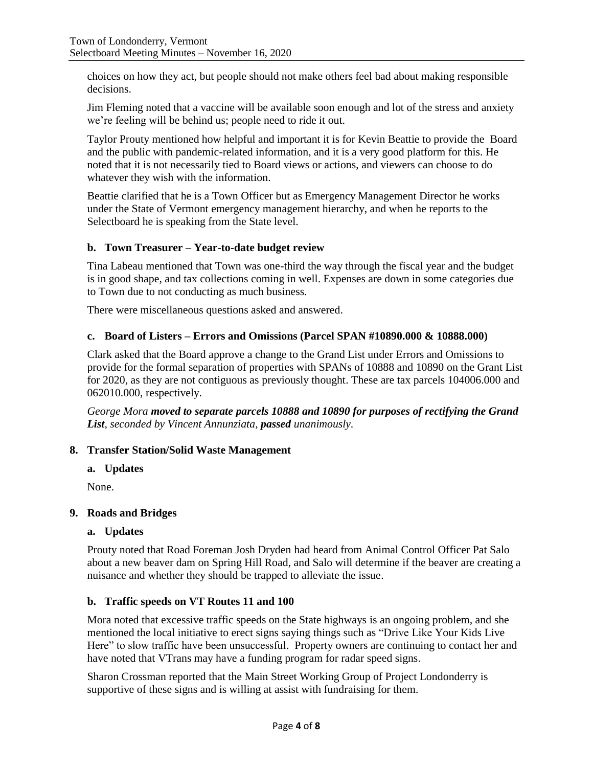choices on how they act, but people should not make others feel bad about making responsible decisions.

Jim Fleming noted that a vaccine will be available soon enough and lot of the stress and anxiety we're feeling will be behind us; people need to ride it out.

Taylor Prouty mentioned how helpful and important it is for Kevin Beattie to provide the Board and the public with pandemic-related information, and it is a very good platform for this. He noted that it is not necessarily tied to Board views or actions, and viewers can choose to do whatever they wish with the information.

Beattie clarified that he is a Town Officer but as Emergency Management Director he works under the State of Vermont emergency management hierarchy, and when he reports to the Selectboard he is speaking from the State level.

## **b. Town Treasurer – Year-to-date budget review**

Tina Labeau mentioned that Town was one-third the way through the fiscal year and the budget is in good shape, and tax collections coming in well. Expenses are down in some categories due to Town due to not conducting as much business.

There were miscellaneous questions asked and answered.

## **c. Board of Listers – Errors and Omissions (Parcel SPAN #10890.000 & 10888.000)**

Clark asked that the Board approve a change to the Grand List under Errors and Omissions to provide for the formal separation of properties with SPANs of 10888 and 10890 on the Grant List for 2020, as they are not contiguous as previously thought. These are tax parcels 104006.000 and 062010.000, respectively.

*George Mora moved to separate parcels 10888 and 10890 for purposes of rectifying the Grand List, seconded by Vincent Annunziata, passed unanimously.*

## **8. Transfer Station/Solid Waste Management**

## **a. Updates**

None.

## **9. Roads and Bridges**

#### **a. Updates**

Prouty noted that Road Foreman Josh Dryden had heard from Animal Control Officer Pat Salo about a new beaver dam on Spring Hill Road, and Salo will determine if the beaver are creating a nuisance and whether they should be trapped to alleviate the issue.

## **b. Traffic speeds on VT Routes 11 and 100**

Mora noted that excessive traffic speeds on the State highways is an ongoing problem, and she mentioned the local initiative to erect signs saying things such as "Drive Like Your Kids Live Here" to slow traffic have been unsuccessful. Property owners are continuing to contact her and have noted that VTrans may have a funding program for radar speed signs.

Sharon Crossman reported that the Main Street Working Group of Project Londonderry is supportive of these signs and is willing at assist with fundraising for them.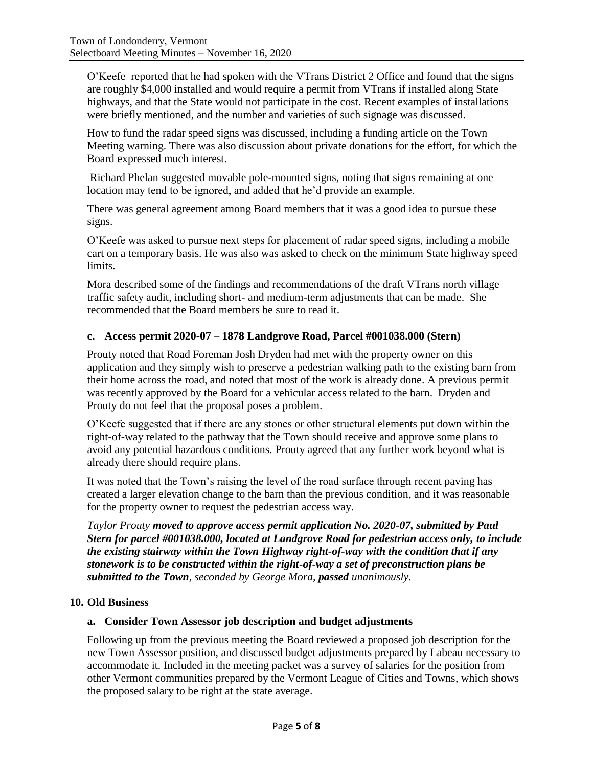O'Keefe reported that he had spoken with the VTrans District 2 Office and found that the signs are roughly \$4,000 installed and would require a permit from VTrans if installed along State highways, and that the State would not participate in the cost. Recent examples of installations were briefly mentioned, and the number and varieties of such signage was discussed.

How to fund the radar speed signs was discussed, including a funding article on the Town Meeting warning. There was also discussion about private donations for the effort, for which the Board expressed much interest.

Richard Phelan suggested movable pole-mounted signs, noting that signs remaining at one location may tend to be ignored, and added that he'd provide an example.

There was general agreement among Board members that it was a good idea to pursue these signs.

O'Keefe was asked to pursue next steps for placement of radar speed signs, including a mobile cart on a temporary basis. He was also was asked to check on the minimum State highway speed limits.

Mora described some of the findings and recommendations of the draft VTrans north village traffic safety audit, including short- and medium-term adjustments that can be made. She recommended that the Board members be sure to read it.

### **c. Access permit 2020-07 – 1878 Landgrove Road, Parcel #001038.000 (Stern)**

Prouty noted that Road Foreman Josh Dryden had met with the property owner on this application and they simply wish to preserve a pedestrian walking path to the existing barn from their home across the road, and noted that most of the work is already done. A previous permit was recently approved by the Board for a vehicular access related to the barn. Dryden and Prouty do not feel that the proposal poses a problem.

O'Keefe suggested that if there are any stones or other structural elements put down within the right-of-way related to the pathway that the Town should receive and approve some plans to avoid any potential hazardous conditions. Prouty agreed that any further work beyond what is already there should require plans.

It was noted that the Town's raising the level of the road surface through recent paving has created a larger elevation change to the barn than the previous condition, and it was reasonable for the property owner to request the pedestrian access way.

*Taylor Prouty moved to approve access permit application No. 2020-07, submitted by Paul Stern for parcel #001038.000, located at Landgrove Road for pedestrian access only, to include the existing stairway within the Town Highway right-of-way with the condition that if any stonework is to be constructed within the right-of-way a set of preconstruction plans be submitted to the Town, seconded by George Mora, passed unanimously.*

#### **10. Old Business**

#### **a. Consider Town Assessor job description and budget adjustments**

Following up from the previous meeting the Board reviewed a proposed job description for the new Town Assessor position, and discussed budget adjustments prepared by Labeau necessary to accommodate it. Included in the meeting packet was a survey of salaries for the position from other Vermont communities prepared by the Vermont League of Cities and Towns, which shows the proposed salary to be right at the state average.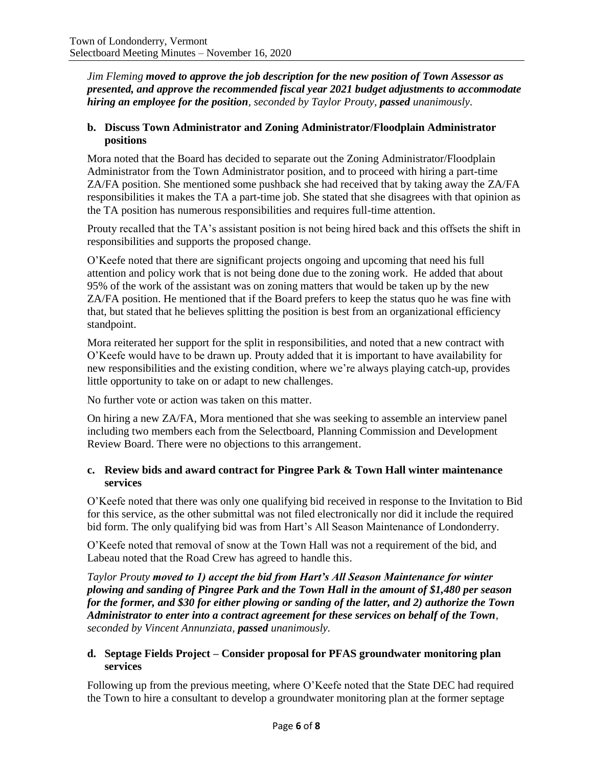*Jim Fleming moved to approve the job description for the new position of Town Assessor as presented, and approve the recommended fiscal year 2021 budget adjustments to accommodate hiring an employee for the position, seconded by Taylor Prouty, passed unanimously.*

#### **b. Discuss Town Administrator and Zoning Administrator/Floodplain Administrator positions**

Mora noted that the Board has decided to separate out the Zoning Administrator/Floodplain Administrator from the Town Administrator position, and to proceed with hiring a part-time ZA/FA position. She mentioned some pushback she had received that by taking away the ZA/FA responsibilities it makes the TA a part-time job. She stated that she disagrees with that opinion as the TA position has numerous responsibilities and requires full-time attention.

Prouty recalled that the TA's assistant position is not being hired back and this offsets the shift in responsibilities and supports the proposed change.

O'Keefe noted that there are significant projects ongoing and upcoming that need his full attention and policy work that is not being done due to the zoning work. He added that about 95% of the work of the assistant was on zoning matters that would be taken up by the new ZA/FA position. He mentioned that if the Board prefers to keep the status quo he was fine with that, but stated that he believes splitting the position is best from an organizational efficiency standpoint.

Mora reiterated her support for the split in responsibilities, and noted that a new contract with O'Keefe would have to be drawn up. Prouty added that it is important to have availability for new responsibilities and the existing condition, where we're always playing catch-up, provides little opportunity to take on or adapt to new challenges.

No further vote or action was taken on this matter.

On hiring a new ZA/FA, Mora mentioned that she was seeking to assemble an interview panel including two members each from the Selectboard, Planning Commission and Development Review Board. There were no objections to this arrangement.

### **c. Review bids and award contract for Pingree Park & Town Hall winter maintenance services**

O'Keefe noted that there was only one qualifying bid received in response to the Invitation to Bid for this service, as the other submittal was not filed electronically nor did it include the required bid form. The only qualifying bid was from Hart's All Season Maintenance of Londonderry.

O'Keefe noted that removal of snow at the Town Hall was not a requirement of the bid, and Labeau noted that the Road Crew has agreed to handle this.

*Taylor Prouty moved to 1) accept the bid from Hart's All Season Maintenance for winter plowing and sanding of Pingree Park and the Town Hall in the amount of \$1,480 per season for the former, and \$30 for either plowing or sanding of the latter, and 2) authorize the Town Administrator to enter into a contract agreement for these services on behalf of the Town, seconded by Vincent Annunziata, passed unanimously.*

### **d. Septage Fields Project – Consider proposal for PFAS groundwater monitoring plan services**

Following up from the previous meeting, where O'Keefe noted that the State DEC had required the Town to hire a consultant to develop a groundwater monitoring plan at the former septage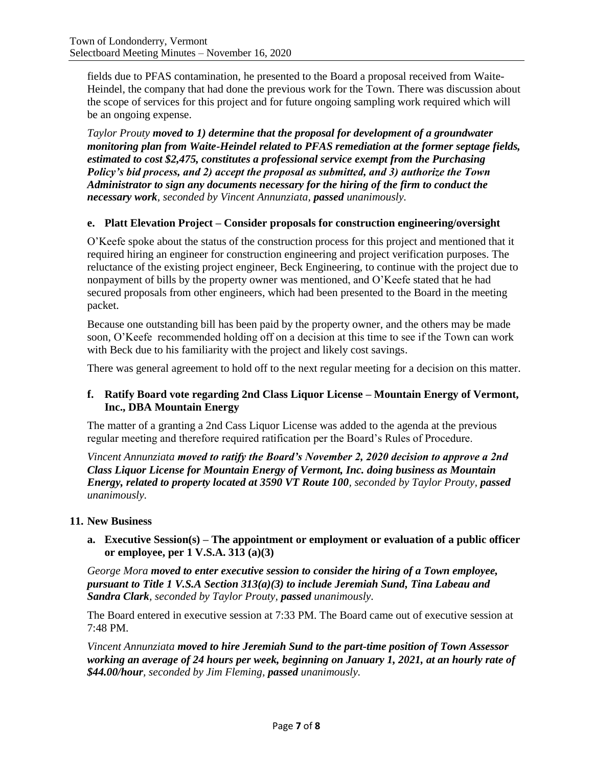fields due to PFAS contamination, he presented to the Board a proposal received from Waite-Heindel, the company that had done the previous work for the Town. There was discussion about the scope of services for this project and for future ongoing sampling work required which will be an ongoing expense.

*Taylor Prouty moved to 1) determine that the proposal for development of a groundwater monitoring plan from Waite-Heindel related to PFAS remediation at the former septage fields, estimated to cost \$2,475, constitutes a professional service exempt from the Purchasing Policy's bid process, and 2) accept the proposal as submitted, and 3) authorize the Town Administrator to sign any documents necessary for the hiring of the firm to conduct the necessary work, seconded by Vincent Annunziata, passed unanimously.*

### **e. Platt Elevation Project – Consider proposals for construction engineering/oversight**

O'Keefe spoke about the status of the construction process for this project and mentioned that it required hiring an engineer for construction engineering and project verification purposes. The reluctance of the existing project engineer, Beck Engineering, to continue with the project due to nonpayment of bills by the property owner was mentioned, and O'Keefe stated that he had secured proposals from other engineers, which had been presented to the Board in the meeting packet.

Because one outstanding bill has been paid by the property owner, and the others may be made soon, O'Keefe recommended holding off on a decision at this time to see if the Town can work with Beck due to his familiarity with the project and likely cost savings.

There was general agreement to hold off to the next regular meeting for a decision on this matter.

### **f. Ratify Board vote regarding 2nd Class Liquor License – Mountain Energy of Vermont, Inc., DBA Mountain Energy**

The matter of a granting a 2nd Cass Liquor License was added to the agenda at the previous regular meeting and therefore required ratification per the Board's Rules of Procedure.

*Vincent Annunziata moved to ratify the Board's November 2, 2020 decision to approve a 2nd Class Liquor License for Mountain Energy of Vermont, Inc. doing business as Mountain Energy, related to property located at 3590 VT Route 100, seconded by Taylor Prouty, passed unanimously.*

#### **11. New Business**

### **a. Executive Session(s) – The appointment or employment or evaluation of a public officer or employee, per 1 V.S.A. 313 (a)(3)**

*George Mora moved to enter executive session to consider the hiring of a Town employee, pursuant to Title 1 V.S.A Section 313(a)(3) to include Jeremiah Sund, Tina Labeau and Sandra Clark, seconded by Taylor Prouty, passed unanimously.*

The Board entered in executive session at 7:33 PM. The Board came out of executive session at 7:48 PM.

*Vincent Annunziata moved to hire Jeremiah Sund to the part-time position of Town Assessor working an average of 24 hours per week, beginning on January 1, 2021, at an hourly rate of \$44.00/hour, seconded by Jim Fleming, passed unanimously.*